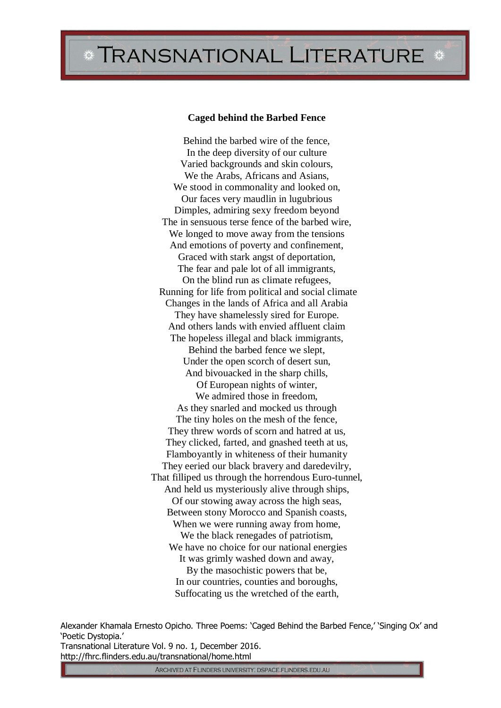## TRANSNATIONAL LITERATURE \*

## **Caged behind the Barbed Fence**

Behind the barbed wire of the fence, In the deep diversity of our culture Varied backgrounds and skin colours, We the Arabs, Africans and Asians, We stood in commonality and looked on, Our faces very maudlin in lugubrious Dimples, admiring sexy freedom beyond The in sensuous terse fence of the barbed wire, We longed to move away from the tensions And emotions of poverty and confinement, Graced with stark angst of deportation, The fear and pale lot of all immigrants, On the blind run as climate refugees, Running for life from political and social climate Changes in the lands of Africa and all Arabia They have shamelessly sired for Europe. And others lands with envied affluent claim The hopeless illegal and black immigrants, Behind the barbed fence we slept, Under the open scorch of desert sun, And bivouacked in the sharp chills, Of European nights of winter, We admired those in freedom, As they snarled and mocked us through The tiny holes on the mesh of the fence, They threw words of scorn and hatred at us, They clicked, farted, and gnashed teeth at us, Flamboyantly in whiteness of their humanity They eeried our black bravery and daredevilry, That filliped us through the horrendous Euro-tunnel, And held us mysteriously alive through ships, Of our stowing away across the high seas, Between stony Morocco and Spanish coasts, When we were running away from home, We the black renegades of patriotism, We have no choice for our national energies It was grimly washed down and away, By the masochistic powers that be, In our countries, counties and boroughs, Suffocating us the wretched of the earth,

Alexander Khamala Ernesto Opicho. Three Poems: 'Caged Behind the Barbed Fence,' 'Singing Ox' and 'Poetic Dystopia.' Transnational Literature Vol. 9 no. 1, December 2016. http://fhrc.flinders.edu.au/transnational/home.html

ARCHIVED AT FLINDERS UNIVERSITY: DSPACE.FLINDERS.EDU.AU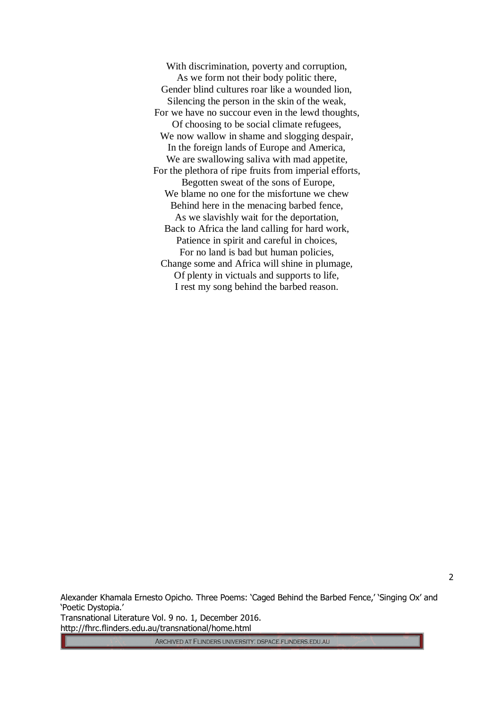With discrimination, poverty and corruption, As we form not their body politic there, Gender blind cultures roar like a wounded lion, Silencing the person in the skin of the weak, For we have no succour even in the lewd thoughts, Of choosing to be social climate refugees, We now wallow in shame and slogging despair, In the foreign lands of Europe and America, We are swallowing saliva with mad appetite, For the plethora of ripe fruits from imperial efforts, Begotten sweat of the sons of Europe, We blame no one for the misfortune we chew Behind here in the menacing barbed fence, As we slavishly wait for the deportation, Back to Africa the land calling for hard work, Patience in spirit and careful in choices, For no land is bad but human policies, Change some and Africa will shine in plumage, Of plenty in victuals and supports to life, I rest my song behind the barbed reason.

Alexander Khamala Ernesto Opicho. Three Poems: 'Caged Behind the Barbed Fence,' 'Singing Ox' and 'Poetic Dystopia.' Transnational Literature Vol. 9 no. 1, December 2016. http://fhrc.flinders.edu.au/transnational/home.html

ARCHIVED AT FLINDERS UNIVERSITY: DSPACE.FLINDERS.EDU.AU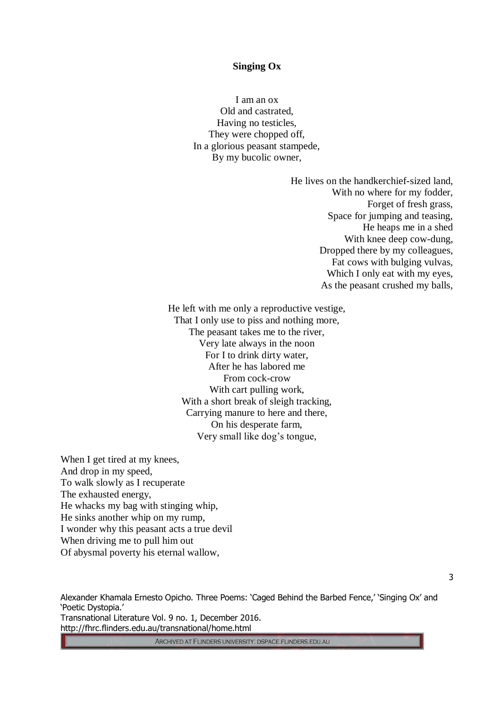## **Singing Ox**

I am an ox Old and castrated, Having no testicles, They were chopped off, In a glorious peasant stampede, By my bucolic owner,

> He lives on the handkerchief-sized land, With no where for my fodder, Forget of fresh grass, Space for jumping and teasing, He heaps me in a shed With knee deep cow-dung, Dropped there by my colleagues, Fat cows with bulging vulvas, Which I only eat with my eyes, As the peasant crushed my balls,

He left with me only a reproductive vestige, That I only use to piss and nothing more, The peasant takes me to the river, Very late always in the noon For I to drink dirty water, After he has labored me From cock-crow With cart pulling work, With a short break of sleigh tracking, Carrying manure to here and there, On his desperate farm, Very small like dog's tongue,

When I get tired at my knees, And drop in my speed, To walk slowly as I recuperate The exhausted energy, He whacks my bag with stinging whip, He sinks another whip on my rump, I wonder why this peasant acts a true devil When driving me to pull him out Of abysmal poverty his eternal wallow,

Alexander Khamala Ernesto Opicho. Three Poems: 'Caged Behind the Barbed Fence,' 'Singing Ox' and 'Poetic Dystopia.' Transnational Literature Vol. 9 no. 1, December 2016. http://fhrc.flinders.edu.au/transnational/home.html

ARCHIVED AT FLINDERS UNIVERSITY: DSPACE.FLINDERS.EDU.AU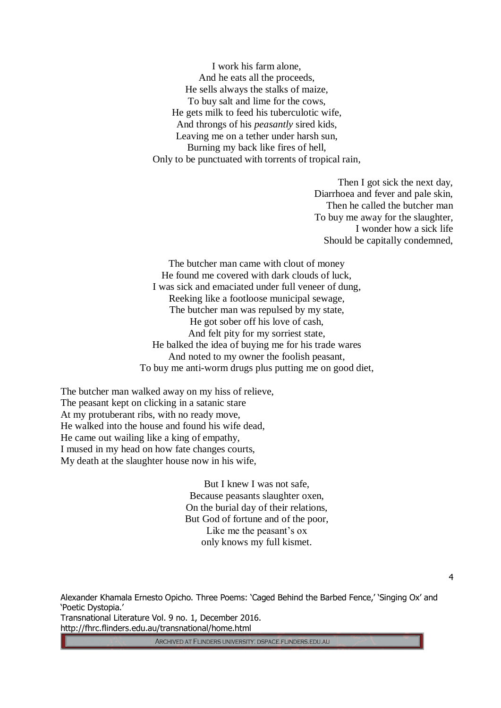I work his farm alone, And he eats all the proceeds, He sells always the stalks of maize, To buy salt and lime for the cows, He gets milk to feed his tuberculotic wife, And throngs of his *peasantly* sired kids, Leaving me on a tether under harsh sun, Burning my back like fires of hell, Only to be punctuated with torrents of tropical rain,

> Then I got sick the next day, Diarrhoea and fever and pale skin, Then he called the butcher man To buy me away for the slaughter, I wonder how a sick life Should be capitally condemned,

The butcher man came with clout of money He found me covered with dark clouds of luck, I was sick and emaciated under full veneer of dung, Reeking like a footloose municipal sewage, The butcher man was repulsed by my state, He got sober off his love of cash, And felt pity for my sorriest state, He balked the idea of buying me for his trade wares And noted to my owner the foolish peasant, To buy me anti-worm drugs plus putting me on good diet,

The butcher man walked away on my hiss of relieve, The peasant kept on clicking in a satanic stare At my protuberant ribs, with no ready move, He walked into the house and found his wife dead, He came out wailing like a king of empathy, I mused in my head on how fate changes courts, My death at the slaughter house now in his wife,

> But I knew I was not safe, Because peasants slaughter oxen, On the burial day of their relations, But God of fortune and of the poor, Like me the peasant's ox only knows my full kismet.

Alexander Khamala Ernesto Opicho. Three Poems: 'Caged Behind the Barbed Fence,' 'Singing Ox' and 'Poetic Dystopia.' Transnational Literature Vol. 9 no. 1, December 2016. http://fhrc.flinders.edu.au/transnational/home.html

ARCHIVED AT FLINDERS UNIVERSITY: DSPACE.FLINDERS.EDU.AU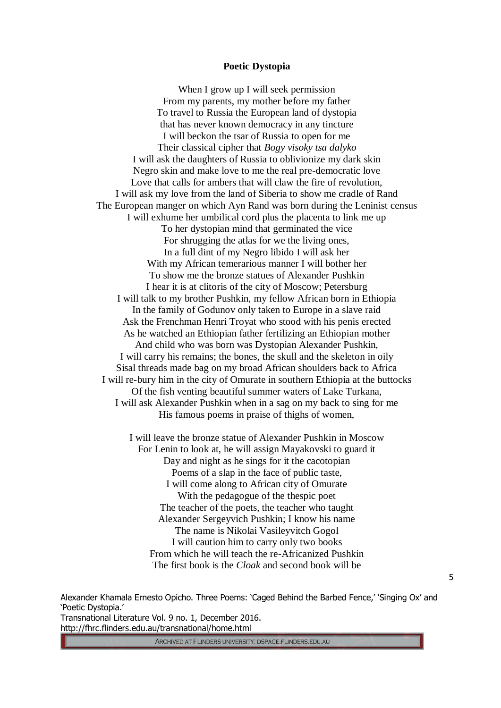## **Poetic Dystopia**

When I grow up I will seek permission From my parents, my mother before my father To travel to Russia the European land of dystopia that has never known democracy in any tincture I will beckon the tsar of Russia to open for me Their classical cipher that *Bogy visoky tsa dalyko* I will ask the daughters of Russia to oblivionize my dark skin Negro skin and make love to me the real pre-democratic love Love that calls for ambers that will claw the fire of revolution, I will ask my love from the land of Siberia to show me cradle of Rand The European manger on which Ayn Rand was born during the Leninist census I will exhume her umbilical cord plus the placenta to link me up To her dystopian mind that germinated the vice For shrugging the atlas for we the living ones, In a full dint of my Negro libido I will ask her With my African temerarious manner I will bother her To show me the bronze statues of Alexander Pushkin I hear it is at clitoris of the city of Moscow; Petersburg I will talk to my brother Pushkin, my fellow African born in Ethiopia In the family of Godunov only taken to Europe in a slave raid Ask the Frenchman Henri Troyat who stood with his penis erected As he watched an Ethiopian father fertilizing an Ethiopian mother And child who was born was Dystopian Alexander Pushkin, I will carry his remains; the bones, the skull and the skeleton in oily Sisal threads made bag on my broad African shoulders back to Africa I will re-bury him in the city of Omurate in southern Ethiopia at the buttocks Of the fish venting beautiful summer waters of Lake Turkana, I will ask Alexander Pushkin when in a sag on my back to sing for me His famous poems in praise of thighs of women,

> I will leave the bronze statue of Alexander Pushkin in Moscow For Lenin to look at, he will assign Mayakovski to guard it Day and night as he sings for it the cacotopian Poems of a slap in the face of public taste, I will come along to African city of Omurate With the pedagogue of the thespic poet The teacher of the poets, the teacher who taught Alexander Sergeyvich Pushkin; I know his name The name is Nikolai Vasileyvitch Gogol I will caution him to carry only two books From which he will teach the re-Africanized Pushkin The first book is the *Cloak* and second book will be

Alexander Khamala Ernesto Opicho. Three Poems: 'Caged Behind the Barbed Fence,' 'Singing Ox' and 'Poetic Dystopia.' Transnational Literature Vol. 9 no. 1, December 2016. http://fhrc.flinders.edu.au/transnational/home.html

ARCHIVED AT FLINDERS UNIVERSITY: DSPACE.FLINDERS.EDU.AU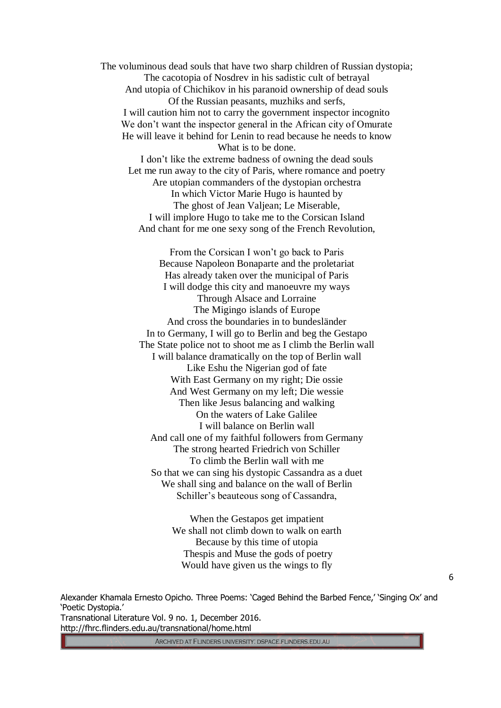The voluminous dead souls that have two sharp children of Russian dystopia; The cacotopia of Nosdrev in his sadistic cult of betrayal And utopia of Chichikov in his paranoid ownership of dead souls Of the Russian peasants, muzhiks and serfs, I will caution him not to carry the government inspector incognito We don't want the inspector general in the African city of Omurate He will leave it behind for Lenin to read because he needs to know What is to be done. I don't like the extreme badness of owning the dead souls

Let me run away to the city of Paris, where romance and poetry Are utopian commanders of the dystopian orchestra In which Victor Marie Hugo is haunted by The ghost of Jean Valjean; Le Miserable, I will implore Hugo to take me to the Corsican Island And chant for me one sexy song of the French Revolution,

From the Corsican I won't go back to Paris Because Napoleon Bonaparte and the proletariat Has already taken over the municipal of Paris I will dodge this city and manoeuvre my ways Through Alsace and Lorraine The Migingo islands of Europe And cross the boundaries in to bundesländer In to Germany, I will go to Berlin and beg the Gestapo The State police not to shoot me as I climb the Berlin wall I will balance dramatically on the top of Berlin wall Like Eshu the Nigerian god of fate With East Germany on my right; Die ossie And West Germany on my left; Die wessie Then like Jesus balancing and walking On the waters of Lake Galilee I will balance on Berlin wall And call one of my faithful followers from Germany The strong hearted Friedrich von Schiller To climb the Berlin wall with me So that we can sing his dystopic Cassandra as a duet We shall sing and balance on the wall of Berlin Schiller's beauteous song of Cassandra,

> When the Gestapos get impatient We shall not climb down to walk on earth Because by this time of utopia Thespis and Muse the gods of poetry Would have given us the wings to fly

Alexander Khamala Ernesto Opicho. Three Poems: 'Caged Behind the Barbed Fence,' 'Singing Ox' and 'Poetic Dystopia.' Transnational Literature Vol. 9 no. 1, December 2016. http://fhrc.flinders.edu.au/transnational/home.html

ARCHIVED AT FLINDERS UNIVERSITY: DSPACE.FLINDERS.EDU.AU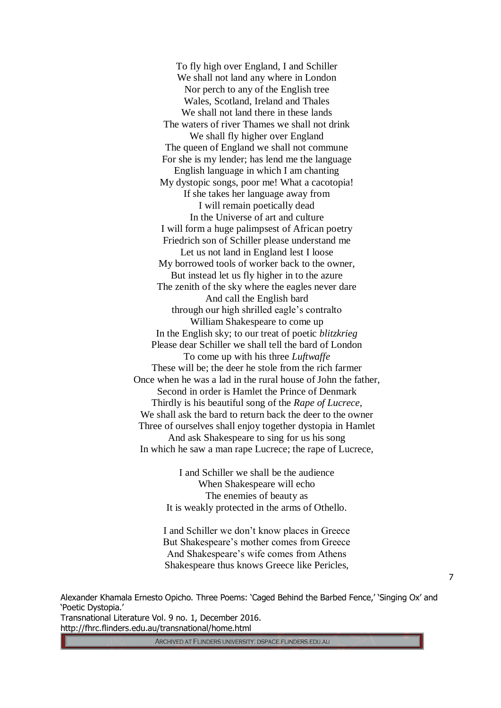To fly high over England, I and Schiller We shall not land any where in London Nor perch to any of the English tree Wales, Scotland, Ireland and Thales We shall not land there in these lands The waters of river Thames we shall not drink We shall fly higher over England The queen of England we shall not commune For she is my lender; has lend me the language English language in which I am chanting My dystopic songs, poor me! What a cacotopia! If she takes her language away from I will remain poetically dead In the Universe of art and culture I will form a huge palimpsest of African poetry Friedrich son of Schiller please understand me Let us not land in England lest I loose My borrowed tools of worker back to the owner, But instead let us fly higher in to the azure The zenith of the sky where the eagles never dare And call the English bard through our high shrilled eagle's contralto William Shakespeare to come up In the English sky; to our treat of poetic *blitzkrieg* Please dear Schiller we shall tell the bard of London To come up with his three *Luftwaffe* These will be; the deer he stole from the rich farmer Once when he was a lad in the rural house of John the father, Second in order is Hamlet the Prince of Denmark Thirdly is his beautiful song of the *Rape of Lucrece,* We shall ask the bard to return back the deer to the owner Three of ourselves shall enjoy together dystopia in Hamlet And ask Shakespeare to sing for us his song In which he saw a man rape Lucrece; the rape of Lucrece,

> I and Schiller we shall be the audience When Shakespeare will echo The enemies of beauty as It is weakly protected in the arms of Othello.

I and Schiller we don't know places in Greece But Shakespeare's mother comes from Greece And Shakespeare's wife comes from Athens Shakespeare thus knows Greece like Pericles,

Alexander Khamala Ernesto Opicho. Three Poems: 'Caged Behind the Barbed Fence,' 'Singing Ox' and 'Poetic Dystopia.' Transnational Literature Vol. 9 no. 1, December 2016. http://fhrc.flinders.edu.au/transnational/home.html

ARCHIVED AT FLINDERS UNIVERSITY: DSPACE.FLINDERS.EDU.AU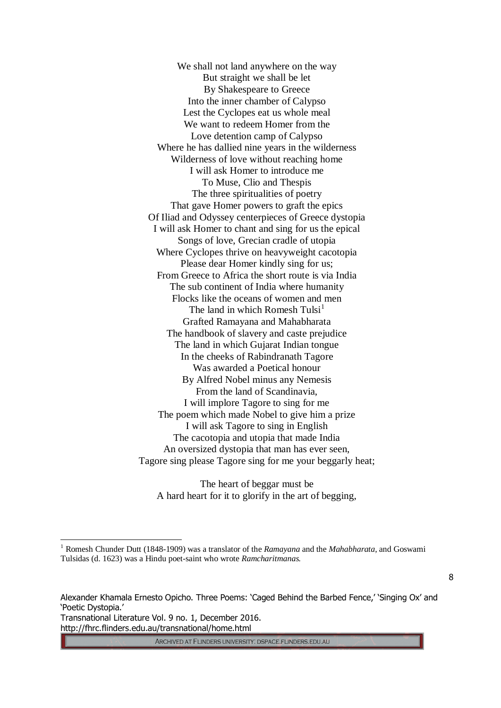We shall not land anywhere on the way But straight we shall be let By Shakespeare to Greece Into the inner chamber of Calypso Lest the Cyclopes eat us whole meal We want to redeem Homer from the Love detention camp of Calypso Where he has dallied nine years in the wilderness Wilderness of love without reaching home I will ask Homer to introduce me To Muse, Clio and Thespis The three spiritualities of poetry That gave Homer powers to graft the epics Of Iliad and Odyssey centerpieces of Greece dystopia I will ask Homer to chant and sing for us the epical Songs of love, Grecian cradle of utopia Where Cyclopes thrive on heavyweight cacotopia Please dear Homer kindly sing for us; From Greece to Africa the short route is via India The sub continent of India where humanity Flocks like the oceans of women and men The land in which Romesh Tulsi<sup>1</sup> Grafted Ramayana and Mahabharata The handbook of slavery and caste prejudice The land in which Gujarat Indian tongue In the cheeks of Rabindranath Tagore Was awarded a Poetical honour By Alfred Nobel minus any Nemesis From the land of Scandinavia, I will implore Tagore to sing for me The poem which made Nobel to give him a prize I will ask Tagore to sing in English The cacotopia and utopia that made India An oversized dystopia that man has ever seen, Tagore sing please Tagore sing for me your beggarly heat;

The heart of beggar must be A hard heart for it to glorify in the art of begging,

http://fhrc.flinders.edu.au/transnational/home.html

 $\overline{a}$ 

ARCHIVED AT FLINDERS UNIVERSITY: DSPACE.FLINDERS.EDU.AU

<sup>1</sup> Romesh Chunder Dutt (1848-1909) was a translator of the *Ramayana* and the *Mahabharata*, and Goswami Tulsidas (d. 1623) was a Hindu poet-saint who wrote *Ramcharitmanas.*

<sup>8</sup>

Alexander Khamala Ernesto Opicho. Three Poems: 'Caged Behind the Barbed Fence,' 'Singing Ox' and 'Poetic Dystopia.' Transnational Literature Vol. 9 no. 1, December 2016.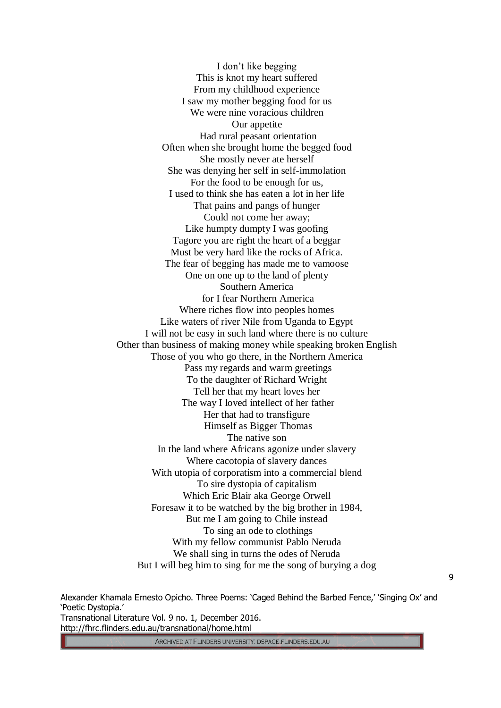I don't like begging This is knot my heart suffered From my childhood experience I saw my mother begging food for us We were nine voracious children Our appetite Had rural peasant orientation Often when she brought home the begged food She mostly never ate herself She was denying her self in self-immolation For the food to be enough for us, I used to think she has eaten a lot in her life That pains and pangs of hunger Could not come her away; Like humpty dumpty I was goofing Tagore you are right the heart of a beggar Must be very hard like the rocks of Africa. The fear of begging has made me to vamoose One on one up to the land of plenty Southern America for I fear Northern America Where riches flow into peoples homes Like waters of river Nile from Uganda to Egypt I will not be easy in such land where there is no culture Other than business of making money while speaking broken English Those of you who go there, in the Northern America Pass my regards and warm greetings To the daughter of Richard Wright Tell her that my heart loves her The way I loved intellect of her father Her that had to transfigure Himself as Bigger Thomas The native son In the land where Africans agonize under slavery Where cacotopia of slavery dances With utopia of corporatism into a commercial blend To sire dystopia of capitalism Which Eric Blair aka George Orwell Foresaw it to be watched by the big brother in 1984, But me I am going to Chile instead To sing an ode to clothings With my fellow communist Pablo Neruda We shall sing in turns the odes of Neruda But I will beg him to sing for me the song of burying a dog

Alexander Khamala Ernesto Opicho. Three Poems: 'Caged Behind the Barbed Fence,' 'Singing Ox' and 'Poetic Dystopia.' Transnational Literature Vol. 9 no. 1, December 2016. http://fhrc.flinders.edu.au/transnational/home.html

ARCHIVED AT FLINDERS UNIVERSITY: DSPACE.FLINDERS.EDU.AU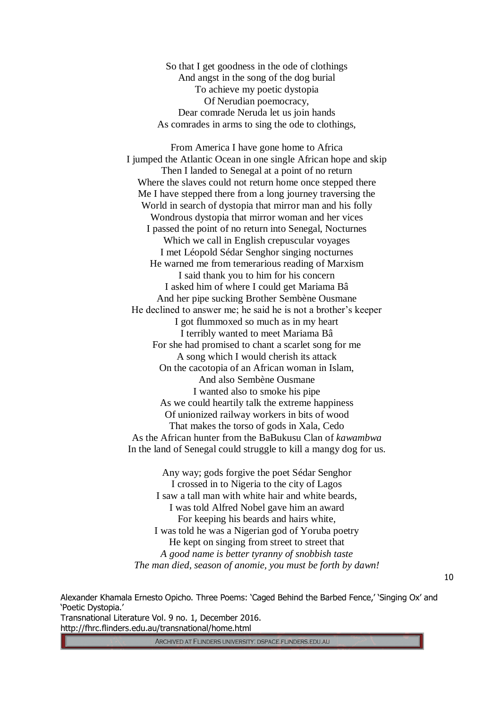So that I get goodness in the ode of clothings And angst in the song of the dog burial To achieve my poetic dystopia Of Nerudian poemocracy, Dear comrade Neruda let us join hands As comrades in arms to sing the ode to clothings,

From America I have gone home to Africa I jumped the Atlantic Ocean in one single African hope and skip Then I landed to Senegal at a point of no return Where the slaves could not return home once stepped there Me I have stepped there from a long journey traversing the World in search of dystopia that mirror man and his folly Wondrous dystopia that mirror woman and her vices I passed the point of no return into Senegal, Nocturnes Which we call in English crepuscular voyages I met Léopold Sédar Senghor singing nocturnes He warned me from temerarious reading of Marxism I said thank you to him for his concern I asked him of where I could get Mariama Bâ And her pipe sucking Brother Sembène Ousmane He declined to answer me; he said he is not a brother's keeper I got flummoxed so much as in my heart I terribly wanted to meet Mariama Bâ For she had promised to chant a scarlet song for me A song which I would cherish its attack On the cacotopia of an African woman in Islam, And also Sembène Ousmane I wanted also to smoke his pipe As we could heartily talk the extreme happiness Of unionized railway workers in bits of wood That makes the torso of gods in Xala, Cedo As the African hunter from the BaBukusu Clan of *kawambwa* In the land of Senegal could struggle to kill a mangy dog for us.

Any way; gods forgive the poet Sédar Senghor I crossed in to Nigeria to the city of Lagos I saw a tall man with white hair and white beards, I was told Alfred Nobel gave him an award For keeping his beards and hairs white, I was told he was a Nigerian god of Yoruba poetry He kept on singing from street to street that *A good name is better tyranny of snobbish taste The man died, season of anomie, you must be forth by dawn!*

Alexander Khamala Ernesto Opicho. Three Poems: 'Caged Behind the Barbed Fence,' 'Singing Ox' and 'Poetic Dystopia.' Transnational Literature Vol. 9 no. 1, December 2016. http://fhrc.flinders.edu.au/transnational/home.html

ARCHIVED AT FLINDERS UNIVERSITY: DSPACE.FLINDERS.EDU.AU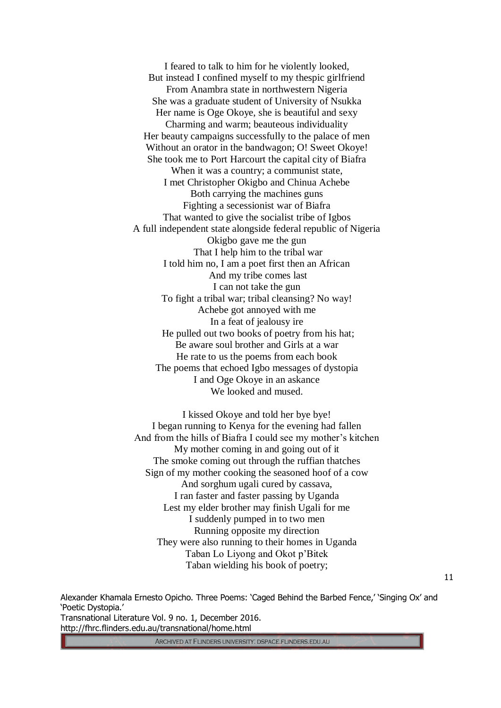I feared to talk to him for he violently looked, But instead I confined myself to my thespic girlfriend From Anambra state in northwestern Nigeria She was a graduate student of University of Nsukka Her name is Oge Okoye, she is beautiful and sexy Charming and warm; beauteous individuality Her beauty campaigns successfully to the palace of men Without an orator in the bandwagon; O! Sweet Okoye! She took me to Port Harcourt the capital city of Biafra When it was a country; a communist state, I met Christopher Okigbo and Chinua Achebe Both carrying the machines guns Fighting a secessionist war of Biafra That wanted to give the socialist tribe of Igbos A full independent state alongside federal republic of Nigeria Okigbo gave me the gun That I help him to the tribal war I told him no, I am a poet first then an African And my tribe comes last I can not take the gun To fight a tribal war; tribal cleansing? No way! Achebe got annoyed with me In a feat of jealousy ire He pulled out two books of poetry from his hat; Be aware soul brother and Girls at a war He rate to us the poems from each book The poems that echoed Igbo messages of dystopia I and Oge Okoye in an askance We looked and mused.

I kissed Okoye and told her bye bye! I began running to Kenya for the evening had fallen And from the hills of Biafra I could see my mother's kitchen My mother coming in and going out of it The smoke coming out through the ruffian thatches Sign of my mother cooking the seasoned hoof of a cow And sorghum ugali cured by cassava, I ran faster and faster passing by Uganda Lest my elder brother may finish Ugali for me I suddenly pumped in to two men Running opposite my direction They were also running to their homes in Uganda Taban Lo Liyong and Okot p'Bitek Taban wielding his book of poetry;

Alexander Khamala Ernesto Opicho. Three Poems: 'Caged Behind the Barbed Fence,' 'Singing Ox' and 'Poetic Dystopia.' Transnational Literature Vol. 9 no. 1, December 2016. http://fhrc.flinders.edu.au/transnational/home.html

ARCHIVED AT FLINDERS UNIVERSITY: DSPACE.FLINDERS.EDU.AU